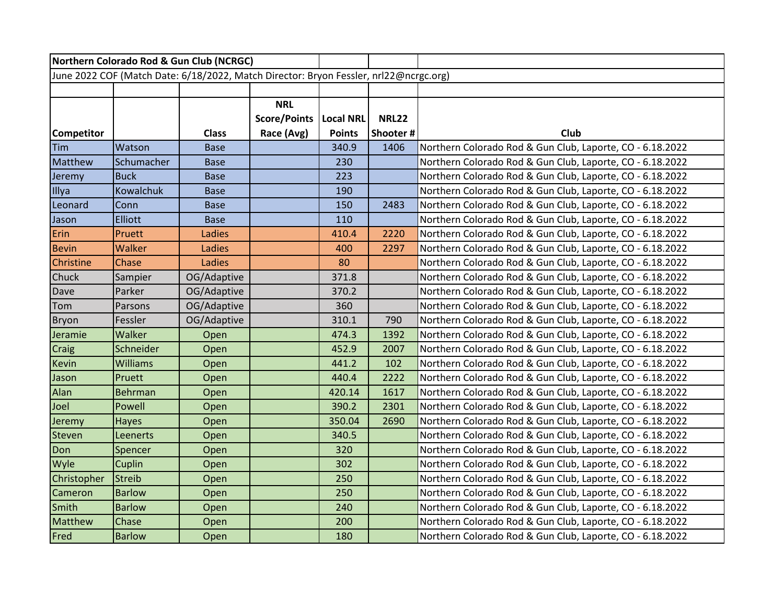| Northern Colorado Rod & Gun Club (NCRGC)                                              |                  |              |                     |                  |              |                                                           |  |  |  |
|---------------------------------------------------------------------------------------|------------------|--------------|---------------------|------------------|--------------|-----------------------------------------------------------|--|--|--|
| June 2022 COF (Match Date: 6/18/2022, Match Director: Bryon Fessler, nrl22@ncrgc.org) |                  |              |                     |                  |              |                                                           |  |  |  |
|                                                                                       |                  |              |                     |                  |              |                                                           |  |  |  |
|                                                                                       |                  |              | <b>NRL</b>          |                  |              |                                                           |  |  |  |
|                                                                                       |                  |              | <b>Score/Points</b> | <b>Local NRL</b> | <b>NRL22</b> |                                                           |  |  |  |
| <b>Competitor</b>                                                                     |                  | <b>Class</b> | Race (Avg)          | <b>Points</b>    | Shooter#     | Club                                                      |  |  |  |
| Tim                                                                                   | Watson           | <b>Base</b>  |                     | 340.9            | 1406         | Northern Colorado Rod & Gun Club, Laporte, CO - 6.18.2022 |  |  |  |
| Matthew                                                                               | Schumacher       | <b>Base</b>  |                     | 230              |              | Northern Colorado Rod & Gun Club, Laporte, CO - 6.18.2022 |  |  |  |
| Jeremy                                                                                | <b>Buck</b>      | <b>Base</b>  |                     | 223              |              | Northern Colorado Rod & Gun Club, Laporte, CO - 6.18.2022 |  |  |  |
| Illya                                                                                 | <b>Kowalchuk</b> | <b>Base</b>  |                     | 190              |              | Northern Colorado Rod & Gun Club, Laporte, CO - 6.18.2022 |  |  |  |
| Leonard                                                                               | Conn             | <b>Base</b>  |                     | 150              | 2483         | Northern Colorado Rod & Gun Club, Laporte, CO - 6.18.2022 |  |  |  |
| Jason                                                                                 | <b>Elliott</b>   | <b>Base</b>  |                     | 110              |              | Northern Colorado Rod & Gun Club, Laporte, CO - 6.18.2022 |  |  |  |
| Erin                                                                                  | Pruett           | Ladies       |                     | 410.4            | 2220         | Northern Colorado Rod & Gun Club, Laporte, CO - 6.18.2022 |  |  |  |
| <b>Bevin</b>                                                                          | Walker           | Ladies       |                     | 400              | 2297         | Northern Colorado Rod & Gun Club, Laporte, CO - 6.18.2022 |  |  |  |
| Christine                                                                             | Chase            | Ladies       |                     | 80               |              | Northern Colorado Rod & Gun Club, Laporte, CO - 6.18.2022 |  |  |  |
| Chuck                                                                                 | Sampier          | OG/Adaptive  |                     | 371.8            |              | Northern Colorado Rod & Gun Club, Laporte, CO - 6.18.2022 |  |  |  |
| Dave                                                                                  | Parker           | OG/Adaptive  |                     | 370.2            |              | Northern Colorado Rod & Gun Club, Laporte, CO - 6.18.2022 |  |  |  |
| Tom                                                                                   | Parsons          | OG/Adaptive  |                     | 360              |              | Northern Colorado Rod & Gun Club, Laporte, CO - 6.18.2022 |  |  |  |
| Bryon                                                                                 | Fessler          | OG/Adaptive  |                     | 310.1            | 790          | Northern Colorado Rod & Gun Club, Laporte, CO - 6.18.2022 |  |  |  |
| Jeramie                                                                               | Walker           | Open         |                     | 474.3            | 1392         | Northern Colorado Rod & Gun Club, Laporte, CO - 6.18.2022 |  |  |  |
| <b>Craig</b>                                                                          | Schneider        | Open         |                     | 452.9            | 2007         | Northern Colorado Rod & Gun Club, Laporte, CO - 6.18.2022 |  |  |  |
| <b>Kevin</b>                                                                          | <b>Williams</b>  | Open         |                     | 441.2            | 102          | Northern Colorado Rod & Gun Club, Laporte, CO - 6.18.2022 |  |  |  |
| Jason                                                                                 | Pruett           | Open         |                     | 440.4            | 2222         | Northern Colorado Rod & Gun Club, Laporte, CO - 6.18.2022 |  |  |  |
| Alan                                                                                  | Behrman          | Open         |                     | 420.14           | 1617         | Northern Colorado Rod & Gun Club, Laporte, CO - 6.18.2022 |  |  |  |
| Joel                                                                                  | Powell           | Open         |                     | 390.2            | 2301         | Northern Colorado Rod & Gun Club, Laporte, CO - 6.18.2022 |  |  |  |
| Jeremy                                                                                | <b>Hayes</b>     | Open         |                     | 350.04           | 2690         | Northern Colorado Rod & Gun Club, Laporte, CO - 6.18.2022 |  |  |  |
| <b>Steven</b>                                                                         | Leenerts         | Open         |                     | 340.5            |              | Northern Colorado Rod & Gun Club, Laporte, CO - 6.18.2022 |  |  |  |
| Don                                                                                   | Spencer          | Open         |                     | 320              |              | Northern Colorado Rod & Gun Club, Laporte, CO - 6.18.2022 |  |  |  |
| Wyle                                                                                  | Cuplin           | Open         |                     | 302              |              | Northern Colorado Rod & Gun Club, Laporte, CO - 6.18.2022 |  |  |  |
| Christopher                                                                           | <b>Streib</b>    | Open         |                     | 250              |              | Northern Colorado Rod & Gun Club, Laporte, CO - 6.18.2022 |  |  |  |
| Cameron                                                                               | <b>Barlow</b>    | Open         |                     | 250              |              | Northern Colorado Rod & Gun Club, Laporte, CO - 6.18.2022 |  |  |  |
| Smith                                                                                 | <b>Barlow</b>    | Open         |                     | 240              |              | Northern Colorado Rod & Gun Club, Laporte, CO - 6.18.2022 |  |  |  |
| Matthew                                                                               | Chase            | Open         |                     | 200              |              | Northern Colorado Rod & Gun Club, Laporte, CO - 6.18.2022 |  |  |  |
| Fred                                                                                  | <b>Barlow</b>    | Open         |                     | 180              |              | Northern Colorado Rod & Gun Club, Laporte, CO - 6.18.2022 |  |  |  |